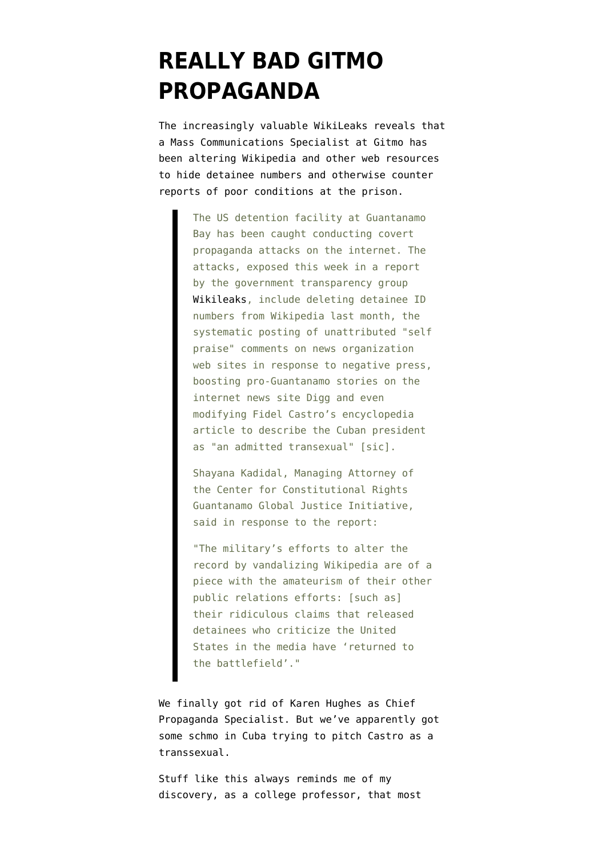## **[REALLY BAD GITMO](https://www.emptywheel.net/2007/12/14/really-bad-gitmo-propaganda/) [PROPAGANDA](https://www.emptywheel.net/2007/12/14/really-bad-gitmo-propaganda/)**

The increasingly valuable WikiLeaks [reveals](http://wikileaks.org/wiki/Wikileaks_busts_Gitmo_propaganda_team) that a Mass Communications Specialist at Gitmo has been altering Wikipedia and other web resources to hide detainee numbers and otherwise counter reports of poor conditions at the prison.

> The US detention facility at Guantanamo Bay has been caught conducting covert propaganda attacks on the internet. The attacks, exposed this week in a report by the government transparency group [Wikileaks](http://wikileaks.org/wiki/Wikileaks), include deleting detainee ID numbers from Wikipedia last month, the systematic posting of unattributed "self praise" comments on news organization web sites in response to negative press, boosting pro-Guantanamo stories on the internet news site Digg and even modifying Fidel Castro's encyclopedia article to describe the Cuban president as "an admitted transexual" [sic].

Shayana Kadidal, Managing Attorney of the Center for Constitutional Rights Guantanamo Global Justice Initiative, said in response to the report:

"The military's efforts to alter the record by vandalizing Wikipedia are of a piece with the amateurism of their other public relations efforts: [such as] their ridiculous claims that released detainees who criticize the United States in the media have 'returned to the battlefield'."

We finally got rid of Karen Hughes as Chief Propaganda Specialist. But we've apparently got some schmo in Cuba trying to pitch Castro as a transsexual.

Stuff like this always reminds me of my discovery, as a college professor, that most